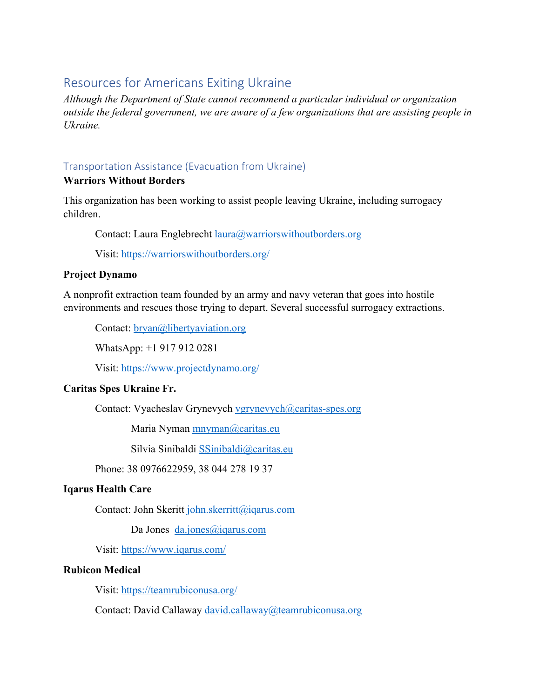# Resources for Americans Exiting Ukraine

*Although the Department of State cannot recommend a particular individual or organization outside the federal government, we are aware of a few organizations that are assisting people in Ukraine.*

## Transportation Assistance (Evacuation from Ukraine)

### **Warriors Without Borders**

This organization has been working to assist people leaving Ukraine, including surrogacy children.

Contact: Laura Englebrecht *laura@warriorswithoutborders.org* 

Visit: https://warriorswithoutborders.org/

### **Project Dynamo**

A nonprofit extraction team founded by an army and navy veteran that goes into hostile environments and rescues those trying to depart. Several successful surrogacy extractions.

Contact: <u>bryan</u>@libertyaviation.org

WhatsApp: +1 917 912 0281

Visit: https://www.projectdynamo.org/

### **Caritas Spes Ukraine Fr.**

Contact: Vyacheslav Grynevych vgrynevych@caritas-spes.org

Maria Nyman mnyman@caritas.eu

Silvia Sinibaldi SSinibaldi@caritas.eu

Phone: 38 0976622959, 38 044 278 19 37

### **Iqarus Health Care**

Contact: John Skeritt john.skerritt@iqarus.com

Da Jones da.jones@iqarus.com

Visit: https://www.iqarus.com/

#### **Rubicon Medical**

Visit: https://teamrubiconusa.org/

Contact: David Callaway david.callaway@teamrubiconusa.org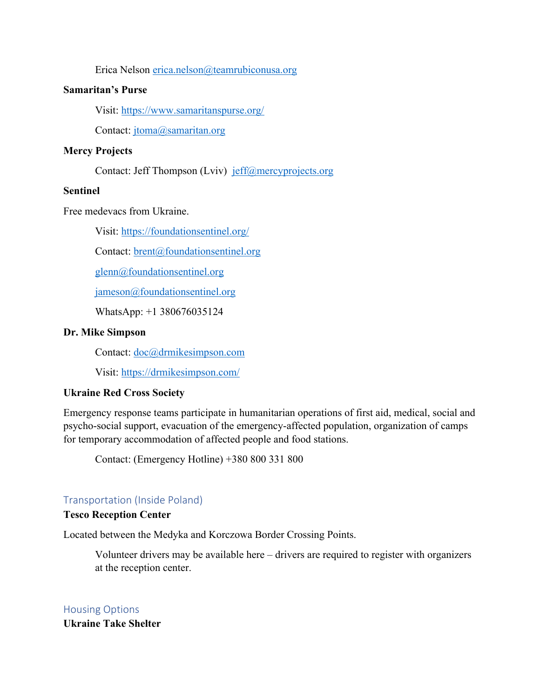Erica Nelson erica.nelson@teamrubiconusa.org

#### **Samaritan's Purse**

Visit: https://www.samaritanspurse.org/

Contact: jtoma@samaritan.org

### **Mercy Projects**

Contact: Jeff Thompson (Lviv) jeff@mercyprojects.org

### **Sentinel**

Free medevacs from Ukraine.

Visit: https://foundationsentinel.org/

Contact: brent@foundationsentinel.org

glenn@foundationsentinel.org

jameson@foundationsentinel.org

WhatsApp: +1 380676035124

### **Dr. Mike Simpson**

Contact: <u>doc</u>@drmikesimpson.com

Visit: https://drmikesimpson.com/

### **Ukraine Red Cross Society**

Emergency response teams participate in humanitarian operations of first aid, medical, social and psycho-social support, evacuation of the emergency-affected population, organization of camps for temporary accommodation of affected people and food stations.

Contact: (Emergency Hotline) +380 800 331 800

### Transportation (Inside Poland)

### **Tesco Reception Center**

Located between the Medyka and Korczowa Border Crossing Points.

Volunteer drivers may be available here – drivers are required to register with organizers at the reception center.

Housing Options **Ukraine Take Shelter**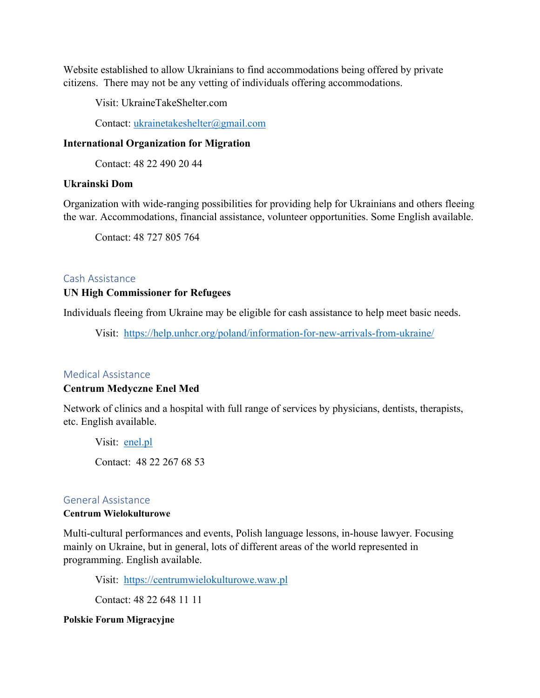Website established to allow Ukrainians to find accommodations being offered by private citizens. There may not be any vetting of individuals offering accommodations.

Visit: UkraineTakeShelter.com

Contact: ukrainetakeshelter@gmail.com

#### **International Organization for Migration**

Contact: 48 22 490 20 44

#### **Ukrainski Dom**

Organization with wide-ranging possibilities for providing help for Ukrainians and others fleeing the war. Accommodations, financial assistance, volunteer opportunities. Some English available.

Contact: 48 727 805 764

#### Cash Assistance

#### **UN High Commissioner for Refugees**

Individuals fleeing from Ukraine may be eligible for cash assistance to help meet basic needs.

Visit: https://help.unhcr.org/poland/information-for-new-arrivals-from-ukraine/

#### Medical Assistance

#### **Centrum Medyczne Enel Med**

Network of clinics and a hospital with full range of services by physicians, dentists, therapists, etc. English available.

Visit: enel.pl Contact: 48 22 267 68 53

#### General Assistance

#### **Centrum Wielokulturowe**

Multi-cultural performances and events, Polish language lessons, in-house lawyer. Focusing mainly on Ukraine, but in general, lots of different areas of the world represented in programming. English available.

Visit: https://centrumwielokulturowe.waw.pl

Contact: 48 22 648 11 11

#### **Polskie Forum Migracyjne**